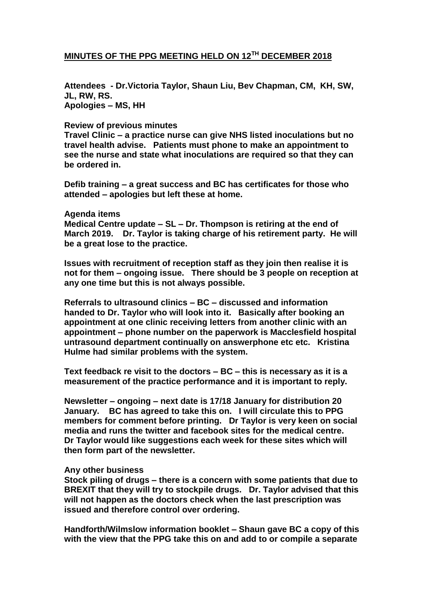## **MINUTES OF THE PPG MEETING HELD ON 12TH DECEMBER 2018**

**Attendees - Dr.Victoria Taylor, Shaun Liu, Bev Chapman, CM, KH, SW, JL, RW, RS. Apologies – MS, HH**

### **Review of previous minutes**

**Travel Clinic – a practice nurse can give NHS listed inoculations but no travel health advise. Patients must phone to make an appointment to see the nurse and state what inoculations are required so that they can be ordered in.** 

**Defib training – a great success and BC has certificates for those who attended – apologies but left these at home.**

#### **Agenda items**

**Medical Centre update – SL – Dr. Thompson is retiring at the end of March 2019. Dr. Taylor is taking charge of his retirement party. He will be a great lose to the practice.** 

**Issues with recruitment of reception staff as they join then realise it is not for them – ongoing issue. There should be 3 people on reception at any one time but this is not always possible.**

**Referrals to ultrasound clinics – BC – discussed and information handed to Dr. Taylor who will look into it. Basically after booking an appointment at one clinic receiving letters from another clinic with an appointment – phone number on the paperwork is Macclesfield hospital untrasound department continually on answerphone etc etc. Kristina Hulme had similar problems with the system.**

**Text feedback re visit to the doctors – BC – this is necessary as it is a measurement of the practice performance and it is important to reply.**

**Newsletter – ongoing – next date is 17/18 January for distribution 20 January. BC has agreed to take this on. I will circulate this to PPG members for comment before printing. Dr Taylor is very keen on social media and runs the twitter and facebook sites for the medical centre. Dr Taylor would like suggestions each week for these sites which will then form part of the newsletter.**

#### **Any other business**

**Stock piling of drugs – there is a concern with some patients that due to BREXIT that they will try to stockpile drugs. Dr. Taylor advised that this will not happen as the doctors check when the last prescription was issued and therefore control over ordering.**

**Handforth/Wilmslow information booklet – Shaun gave BC a copy of this with the view that the PPG take this on and add to or compile a separate**